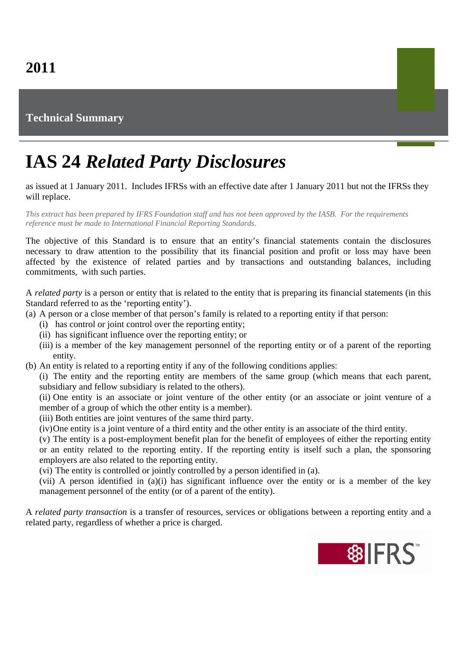## **Technical Summary**

## **IAS 24** *Related Party Disclosures*

as issued at 1 January 2011. Includes IFRSs with an effective date after 1 January 2011 but not the IFRSs they will replace.

*This extract has been prepared by IFRS Foundation staff and has not been approved by the IASB. For the requirements reference must be made to International Financial Reporting Standards.*

The objective of this Standard is to ensure that an entity's financial statements contain the disclosures necessary to draw attention to the possibility that its financial position and profit or loss may have been affected by the existence of related parties and by transactions and outstanding balances, including commitments, with such parties.

A *related party* is a person or entity that is related to the entity that is preparing its financial statements (in this Standard referred to as the 'reporting entity').

- (a) A person or a close member of that person's family is related to a reporting entity if that person:
	- (i) has control or joint control over the reporting entity;
	- (ii) has significant influence over the reporting entity; or
	- (iii) is a member of the key management personnel of the reporting entity or of a parent of the reporting entity.
- (b) An entity is related to a reporting entity if any of the following conditions applies:

(i) The entity and the reporting entity are members of the same group (which means that each parent, subsidiary and fellow subsidiary is related to the others).

(ii) One entity is an associate or joint venture of the other entity (or an associate or joint venture of a member of a group of which the other entity is a member).

(iii) Both entities are joint ventures of the same third party.

(iv) One entity is a joint venture of a third entity and the other entity is an associate of the third entity.

(v) The entity is a post-employment benefit plan for the benefit of employees of either the reporting entity or an entity related to the reporting entity. If the reporting entity is itself such a plan, the sponsoring employers are also related to the reporting entity.

(vi) The entity is controlled or jointly controlled by a person identified in (a).

(vii) A person identified in (a)(i) has significant influence over the entity or is a member of the key management personnel of the entity (or of a parent of the entity).

A *related party transaction* is a transfer of resources, services or obligations between a reporting entity and a related party, regardless of whether a price is charged.

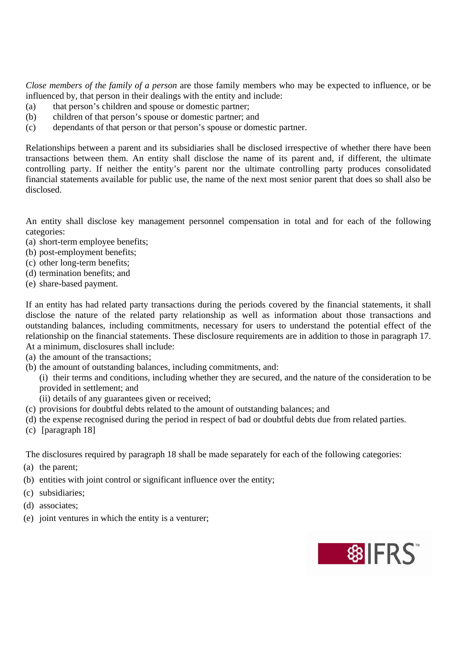*Close members of the family of a person* are those family members who may be expected to influence, or be influenced by, that person in their dealings with the entity and include:

- (a) that person's children and spouse or domestic partner;
- (b) children of that person's spouse or domestic partner; and
- (c) dependants of that person or that person's spouse or domestic partner.

Relationships between a parent and its subsidiaries shall be disclosed irrespective of whether there have been transactions between them. An entity shall disclose the name of its parent and, if different, the ultimate controlling party. If neither the entity's parent nor the ultimate controlling party produces consolidated financial statements available for public use, the name of the next most senior parent that does so shall also be disclosed.

An entity shall disclose key management personnel compensation in total and for each of the following categories:

- (a) short-term employee benefits;
- (b) post-employment benefits;
- (c) other long-term benefits;
- (d) termination benefits; and
- (e) share-based payment.

If an entity has had related party transactions during the periods covered by the financial statements, it shall disclose the nature of the related party relationship as well as information about those transactions and outstanding balances, including commitments, necessary for users to understand the potential effect of the relationship on the financial statements. These disclosure requirements are in addition to those in paragraph 17. At a minimum, disclosures shall include:

- (a) the amount of the transactions;
- (b) the amount of outstanding balances, including commitments, and:
	- (i) their terms and conditions, including whether they are secured, and the nature of the consideration to be provided in settlement; and
		- (ii) details of any guarantees given or received;
- (c) provisions for doubtful debts related to the amount of outstanding balances; and
- (d) the expense recognised during the period in respect of bad or doubtful debts due from related parties.
- (c) [paragraph 18]

The disclosures required by paragraph 18 shall be made separately for each of the following categories:

- (a) the parent;
- (b) entities with joint control or significant influence over the entity;
- (c) subsidiaries;
- (d) associates;
- (e) joint ventures in which the entity is a venturer;